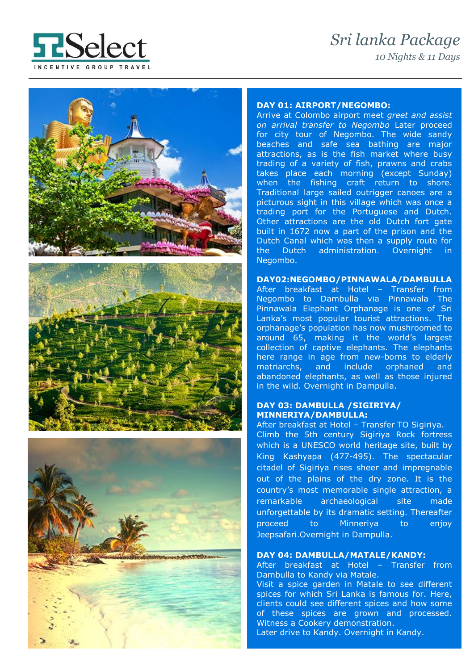# *Sri lanka Package 10 Nights & 11 Days*









# **DAY 01: AIRPORT/NEGOMBO:**

*E* Arrive at Colombo airport meet *greet and assist on arrival transfer to Negombo* Later proceed for city tour of Negombo. The wide sandy beaches and safe sea bathing are major attractions, as is the fish market where busy trading of a variety of fish, prawns and crabs takes place each morning (except Sunday) when the fishing craft return to shore. Traditional large sailed outrigger canoes are a picturous sight in this village which was once a trading port for the Portuguese and Dutch. Other attractions are the old Dutch fort gate built in 1672 now a part of the prison and the Dutch Canal which was then a supply route for the Dutch administration. Overnight in Negombo.

### **DAY02:NEGOMBO/PINNAWALA/DAMBULLA**

After breakfast at Hotel – Transfer from Negombo to Dambulla via Pinnawala The Pinnawala Elephant Orphanage is one of Sri Lanka's most popular tourist attractions. The orphanage's population has now mushroomed to around 65, making it the world's largest collection of captive elephants. The elephants here range in age from new-borns to elderly matriarchs, and include orphaned and abandoned elephants, as well as those injured in the wild. Overnight in Dampulla.

# **DAY 03: DAMBULLA /SIGIRIYA/ MINNERIYA/DAMBULLA:**

After breakfast at Hotel – Transfer TO Sigiriya. Climb the 5th century Sigiriya Rock fortress which is a UNESCO world heritage site, built by King Kashyapa (477-495). The spectacular citadel of Sigiriya rises sheer and impregnable out of the plains of the dry zone. It is the country's most memorable single attraction, a remarkable archaeological site made unforgettable by its dramatic setting. Thereafter proceed to Minneriya to enjoy Jeepsafari.Overnight in Dampulla.

# **DAY 04: DAMBULLA/MATALE/KANDY:**

After breakfast at Hotel – Transfer from Dambulla to Kandy via Matale.

Visit a spice garden in Matale to see different spices for which Sri Lanka is famous for. Here, clients could see different spices and how some of these spices are grown and processed. Witness a Cookery demonstration. Later drive to Kandy. Overnight in Kandy.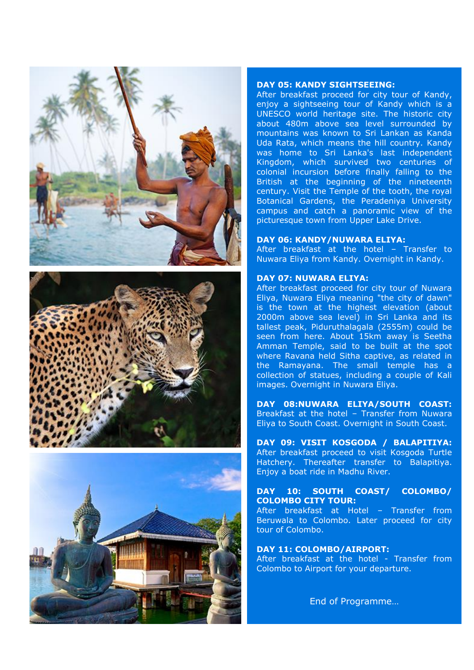





### **DAY 05: KANDY SIGHTSEEING:**

After breakfast proceed for city tour of Kandy, enjoy a sightseeing tour of Kandy which is a UNESCO world heritage site. The historic city about 480m above sea level surrounded by mountains was known to Sri Lankan as Kanda Uda Rata, which means the hill country. Kandy was home to Sri Lanka's last independent Kingdom, which survived two centuries of colonial incursion before finally falling to the British at the beginning of the nineteenth century. Visit the Temple of the tooth, the royal Botanical Gardens, the Peradeniya University campus and catch a panoramic view of the picturesque town from Upper Lake Drive.

#### **DAY 06: KANDY/NUWARA ELIYA:**

After breakfast at the hotel – Transfer to Nuwara Eliya from Kandy. Overnight in Kandy.

#### **DAY 07: NUWARA ELIYA:**

After breakfast proceed for city tour of Nuwara Eliya, Nuwara Eliya meaning "the city of dawn" is the town at the highest elevation (about 2000m above sea level) in Sri Lanka and its tallest peak, Piduruthalagala (2555m) could be seen from here. About 15km away is Seetha Amman Temple, said to be built at the spot where Ravana held Sitha captive, as related in the Ramayana. The small temple has a collection of statues, including a couple of Kali images. Overnight in Nuwara Eliya.

**DAY 08:NUWARA ELIYA/SOUTH COAST:**  Breakfast at the hotel – Transfer from Nuwara Eliya to South Coast. Overnight in South Coast.

**DAY 09: VISIT KOSGODA / BALAPITIYA:** After breakfast proceed to visit Kosgoda Turtle Hatchery. Thereafter transfer to Balapitiya. Enjoy a boat ride in Madhu River.

## **DAY 10: SOUTH COAST/ COLOMBO/ COLOMBO CITY TOUR:**

After breakfast at Hotel – Transfer from Beruwala to Colombo. Later proceed for city tour of Colombo.

#### **DAY 11: COLOMBO/AIRPORT:**

After breakfast at the hotel - Transfer from Colombo to Airport for your departure.

End of Programme…